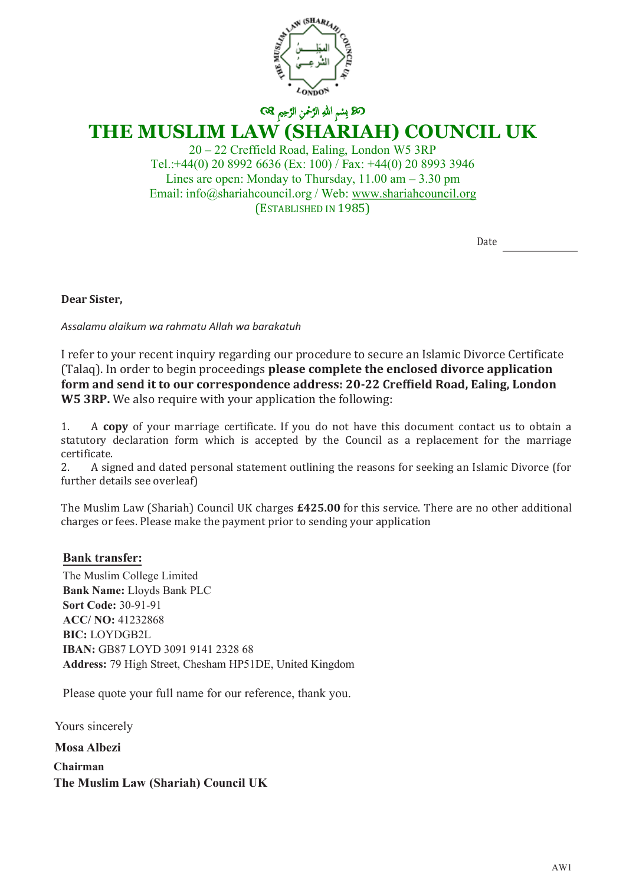

# **THE MUSLIM LAW (SHARIAH) COUNCIL UK**

20 – 22 Creffield Road, Ealing, London W5 3RP Tel.:+44(0) 20 8992 6636 (Ex: 100) / Fax: +44(0) 20 8993 3946 Lines are open: Monday to Thursday,  $11.00 \text{ am} - 3.30 \text{ pm}$ Email: info@shariahcouncil.org / Web: www.shariahcouncil.org (ESTABLISHED IN 1985)

Date

**Dear Sister,**

*Assalamu alaikum wa rahmatu Allah wa barakatuh*

I refer to your recent inquiry regarding our procedure to secure an Islamic Divorce Certificate (Talaq). In order to begin proceedings **please complete the enclosed divorce application form and send it to our correspondence address: 20-22 Creffield Road, Ealing, London W5 3RP.** We also require with your application the following:

1. A **copy** of your marriage certificate. If you do not have this document contact us to obtain a statutory declaration form which is accepted by the Council as a replacement for the marriage certificate.<br>2. A sig

2. A signed and dated personal statement outlining the reasons for seeking an Islamic Divorce (for further details see overleaf)

The Muslim Law (Shariah) Council UK charges **£425.00** for this service. There are no other additional charges or fees. Please make the payment prior to sending your application

#### **Account name: 'The Muslim Law and (Shariah) Council UK Bank transfer:**

The Muslim College Limited **Bank Name:** Lloyds Bank PLC **Sort code: 30-90-89 Sort Code:** 30-91-91 **Pay by cheque: Payable to 'The Muslim Law (Shariah) Council UK** Address: 79 High Street, Chesham HP51DE, United Kingdom **ACC/ NO:** 41232868 **BIC:** LOYDGB2L **IBAN:** GB87 LOYD 3091 9141 2328 68

Please quote your full name for our reference, thank you.

**Mosa Albezi Chairman The Muslim Law (Shariah) Council UK** Yours sincerely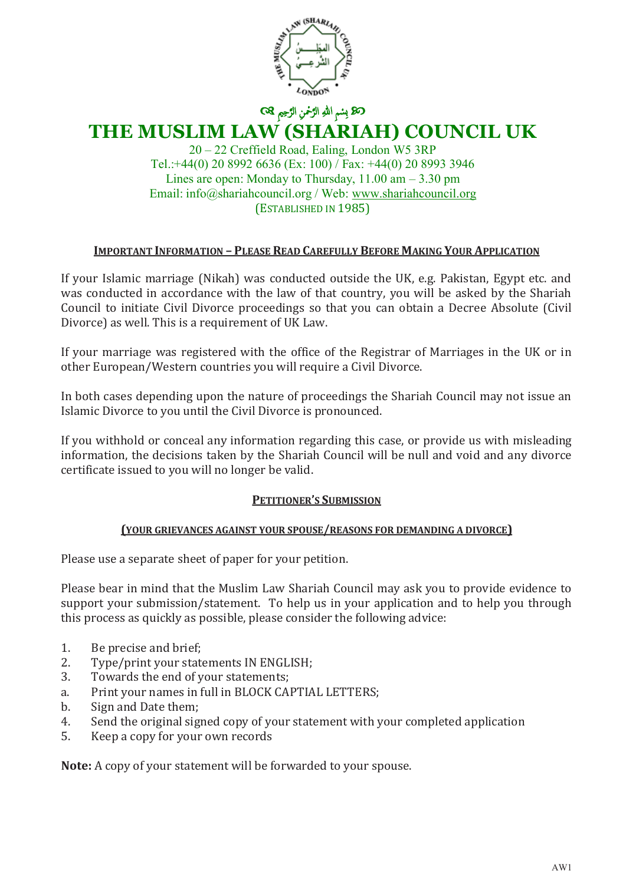

> 20 – 22 Creffield Road, Ealing, London W5 3RP Tel.:+44(0) 20 8992 6636 (Ex: 100) / Fax: +44(0) 20 8993 3946 Lines are open: Monday to Thursday,  $11.00 \text{ am} - 3.30 \text{ pm}$ Email: info@shariahcouncil.org / Web: www.shariahcouncil.org (ESTABLISHED IN 1985)

### **IMPORTANT INFORMATION – PLEASE READ CAREFULLY BEFORE MAKING YOUR APPLICATION**

If your Islamic marriage (Nikah) was conducted outside the UK, e.g. Pakistan, Egypt etc. and was conducted in accordance with the law of that country, you will be asked by the Shariah Council to initiate Civil Divorce proceedings so that you can obtain a Decree Absolute (Civil Divorce) as well. This is a requirement of UK Law.

If your marriage was registered with the office of the Registrar of Marriages in the UK or in other European/Western countries you will require a Civil Divorce.

In both cases depending upon the nature of proceedings the Shariah Council may not issue an Islamic Divorce to you until the Civil Divorce is pronounced.

If you withhold or conceal any information regarding this case, or provide us with misleading information, the decisions taken by the Shariah Council will be null and void and any divorce certificate issued to you will no longer be valid.

#### **PETITIONER'S SUBMISSION**

#### **(YOUR GRIEVANCES AGAINST YOUR SPOUSE/REASONS FOR DEMANDING A DIVORCE)**

Please use a separate sheet of paper for your petition.

Please bear in mind that the Muslim Law Shariah Council may ask you to provide evidence to support your submission/statement. To help us in your application and to help you through this process as quickly as possible, please consider the following advice:

- 1. Be precise and brief;<br>2. Type/print your stat
- 2. Type/print your statements IN ENGLISH;<br>3. Towards the end of your statements:
- Towards the end of your statements:
- a. Print your names in full in BLOCK CAPTIAL LETTERS;<br>b. Sign and Date them:
- b. Sign and Date them;<br>4. Send the original sign
- 4. Send the original signed copy of your statement with your completed application<br>5. Keep a copy for your own records
- 5. Keep a copy for your own records

**Note:** A copy of your statement will be forwarded to your spouse.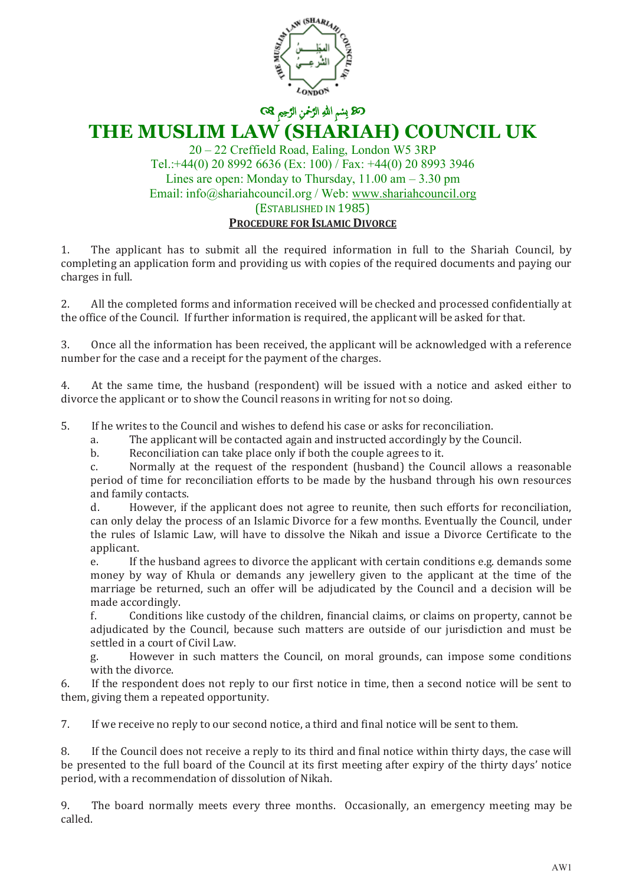

### **THE MUSLIM LAW (SHARIAH) COUNCIL UK**

20 – 22 Creffield Road, Ealing, London W5 3RP Tel.:+44(0) 20 8992 6636 (Ex: 100) / Fax: +44(0) 20 8993 3946 Lines are open: Monday to Thursday,  $11.00 \text{ am} - 3.30 \text{ pm}$ Email: info@shariahcouncil.org / Web: www.shariahcouncil.org (ESTABLISHED IN 1985) **PROCEDURE FOR ISLAMIC DIVORCE**

1. The applicant has to submit all the required information in full to the Shariah Council, by completing an application form and providing us with copies of the required documents and paying our charges in full.

2. All the completed forms and information received will be checked and processed confidentially at the office of the Council. If further information is required, the applicant will be asked for that.

3. Once all the information has been received, the applicant will be acknowledged with a reference number for the case and a receipt for the payment of the charges.

4. At the same time, the husband (respondent) will be issued with a notice and asked either to divorce the applicant or to show the Council reasons in writing for not so doing.

5. If he writes to the Council and wishes to defend his case or asks for reconciliation.<br>a. The applicant will be contacted again and instructed accordingly by the Co

a. The applicant will be contacted again and instructed accordingly by the Council.

b. Reconciliation can take place only if both the couple agrees to it.<br>
c. Normally at the request of the respondent (husband) the Cou

Normally at the request of the respondent (husband) the Council allows a reasonable period of time for reconciliation efforts to be made by the husband through his own resources and family contacts.<br>d. However. if

However, if the applicant does not agree to reunite, then such efforts for reconciliation, can only delay the process of an Islamic Divorce for a few months. Eventually the Council, under the rules of Islamic Law, will have to dissolve the Nikah and issue a Divorce Certificate to the applicant.<br>e. If t

If the husband agrees to divorce the applicant with certain conditions e.g. demands some money by way of Khula or demands any jewellery given to the applicant at the time of the marriage be returned, such an offer will be adjudicated by the Council and a decision will be made accordingly.<br>f. Conditions

f. Conditions like custody of the children, financial claims, or claims on property, cannot be adjudicated by the Council, because such matters are outside of our jurisdiction and must be settled in a court of Civil Law.

g. However in such matters the Council, on moral grounds, can impose some conditions with the divorce.

6. If the respondent does not reply to our first notice in time, then a second notice will be sent to them, giving them a repeated opportunity.

7. If we receive no reply to our second notice, a third and final notice will be sent to them.

8. If the Council does not receive a reply to its third and final notice within thirty days, the case will be presented to the full board of the Council at its first meeting after expiry of the thirty days' notice period, with a recommendation of dissolution of Nikah.

9. The board normally meets every three months. Occasionally, an emergency meeting may be called.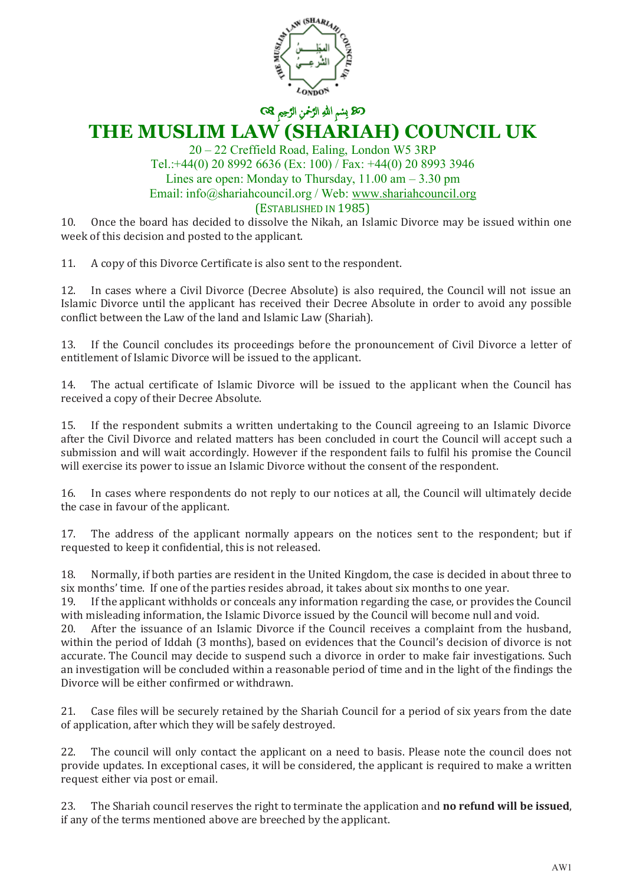

20 – 22 Creffield Road, Ealing, London W5 3RP Tel.:+44(0) 20 8992 6636 (Ex: 100) / Fax: +44(0) 20 8993 3946 Lines are open: Monday to Thursday,  $11.00 \text{ am} - 3.30 \text{ pm}$ Email: info@shariahcouncil.org / Web: www.shariahcouncil.org (ESTABLISHED IN 1985)

10. Once the board has decided to dissolve the Nikah, an Islamic Divorce may be issued within one week of this decision and posted to the applicant.

11. A copy of this Divorce Certificate is also sent to the respondent.

12. In cases where a Civil Divorce (Decree Absolute) is also required, the Council will not issue an Islamic Divorce until the applicant has received their Decree Absolute in order to avoid any possible conflict between the Law of the land and Islamic Law (Shariah).

13. If the Council concludes its proceedings before the pronouncement of Civil Divorce a letter of entitlement of Islamic Divorce will be issued to the applicant.

14. The actual certificate of Islamic Divorce will be issued to the applicant when the Council has received a copy of their Decree Absolute.

15. If the respondent submits a written undertaking to the Council agreeing to an Islamic Divorce after the Civil Divorce and related matters has been concluded in court the Council will accept such a submission and will wait accordingly. However if the respondent fails to fulfil his promise the Council will exercise its power to issue an Islamic Divorce without the consent of the respondent.

16. In cases where respondents do not reply to our notices at all, the Council will ultimately decide the case in favour of the applicant.

17. The address of the applicant normally appears on the notices sent to the respondent; but if requested to keep it confidential, this is not released.

18. Normally, if both parties are resident in the United Kingdom, the case is decided in about three to six months' time. If one of the parties resides abroad, it takes about six months to one year.<br>19. If the applicant withholds or conceals any information regarding the case, or provides

19. If the applicant withholds or conceals any information regarding the case, or provides the Council with misleading information, the Islamic Divorce issued by the Council will become null and void.<br>20. After the issuance of an Islamic Divorce if the Council receives a complaint from the hus-

After the issuance of an Islamic Divorce if the Council receives a complaint from the husband, within the period of Iddah (3 months), based on evidences that the Council's decision of divorce is not accurate. The Council may decide to suspend such a divorce in order to make fair investigations. Such an investigation will be concluded within a reasonable period of time and in the light of the findings the Divorce will be either confirmed or withdrawn.

21. Case files will be securely retained by the Shariah Council for a period of six years from the date of application, after which they will be safely destroyed.

22. The council will only contact the applicant on a need to basis. Please note the council does not provide updates. In exceptional cases, it will be considered, the applicant is required to make a written request either via post or email.

23. The Shariah council reserves the right to terminate the application and **no refund will be issued**, if any of the terms mentioned above are breeched by the applicant.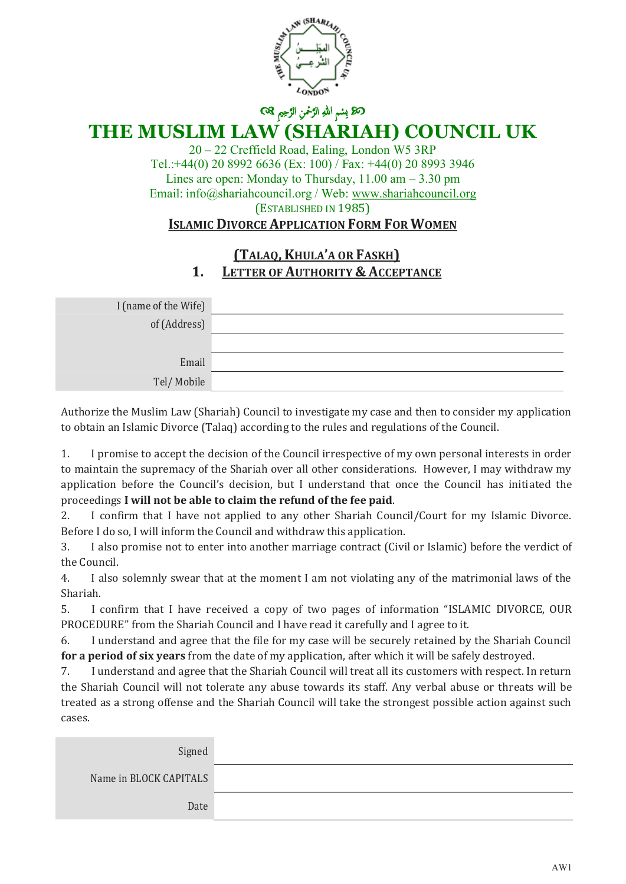

# **THE MUSLIM LAW (SHARIAH) COUNCIL UK**

20 – 22 Creffield Road, Ealing, London W5 3RP Tel.:+44(0) 20 8992 6636 (Ex: 100) / Fax: +44(0) 20 8993 3946 Lines are open: Monday to Thursday,  $11.00 \text{ am} - 3.30 \text{ pm}$ Email: info@shariahcouncil.org / Web: www.shariahcouncil.org (ESTABLISHED IN 1985)

### **ISLAMIC DIVORCE APPLICATION FORM FOR WOMEN**

### **(TALAQ,KHULA'A OR FASKH) 1. LETTER OF AUTHORITY & ACCEPTANCE**

| I (name of the Wife) |  |
|----------------------|--|
| of (Address)         |  |
|                      |  |
| Email                |  |
| Tel/Mobile           |  |

Authorize the Muslim Law (Shariah) Council to investigate my case and then to consider my application to obtain an Islamic Divorce (Talaq) according to the rules and regulations of the Council.

1. I promise to accept the decision of the Council irrespective of my own personal interests in order to maintain the supremacy of the Shariah over all other considerations. However, I may withdraw my application before the Council's decision, but I understand that once the Council has initiated the proceedings **I will not be able to claim the refund of the fee paid**.

2. I confirm that I have not applied to any other Shariah Council/Court for my Islamic Divorce. Before I do so, I will inform the Council and withdraw this application.

3. I also promise not to enter into another marriage contract (Civil or Islamic) before the verdict of the Council.

4. I also solemnly swear that at the moment I am not violating any of the matrimonial laws of the Shariah.

5. I confirm that I have received a copy of two pages of information "ISLAMIC DIVORCE, OUR PROCEDURE" from the Shariah Council and I have read it carefully and I agree to it.

6. I understand and agree that the file for my case will be securely retained by the Shariah Council **for a period of six years** from the date of my application, after which it will be safely destroyed.

7. I understand and agree that the Shariah Council will treat all its customers with respect. In return the Shariah Council will not tolerate any abuse towards its staff. Any verbal abuse or threats will be treated as a strong offense and the Shariah Council will take the strongest possible action against such cases.

| Signed                 |  |
|------------------------|--|
| Name in BLOCK CAPITALS |  |
| Date                   |  |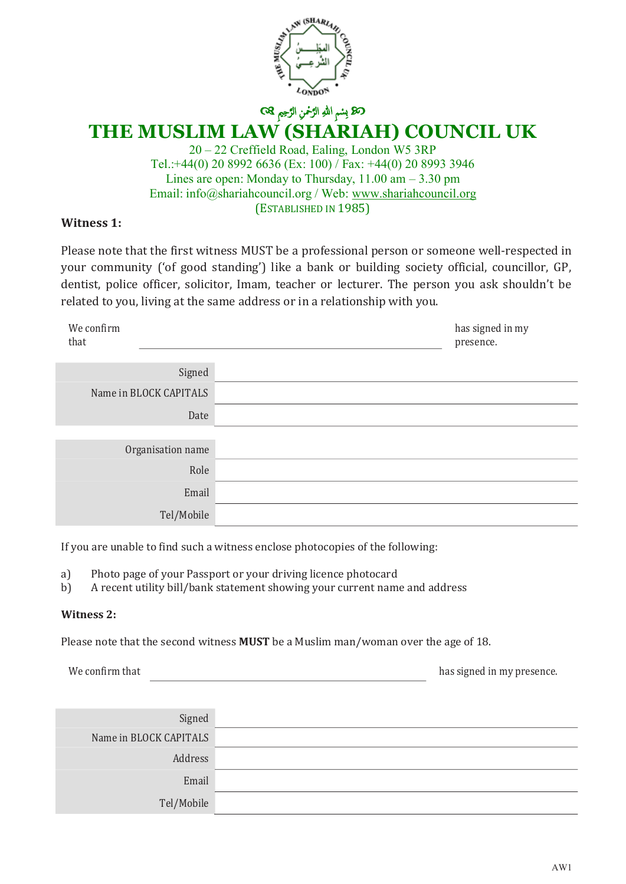

> 20 – 22 Creffield Road, Ealing, London W5 3RP Tel.:+44(0) 20 8992 6636 (Ex: 100) / Fax: +44(0) 20 8993 3946 Lines are open: Monday to Thursday,  $11.00 \text{ am} - 3.30 \text{ pm}$ Email: info@shariahcouncil.org / Web: www.shariahcouncil.org (ESTABLISHED IN 1985)

### **Witness 1:**

Please note that the first witness MUST be a professional person or someone well-respected in your community ('of good standing') like a bank or building society official, councillor, GP, dentist, police officer, solicitor, Imam, teacher or lecturer. The person you ask shouldn't be related to you, living at the same address or in a relationship with you.

| We confirm<br>that     | has signed in my<br>presence. |
|------------------------|-------------------------------|
| Signed                 |                               |
|                        |                               |
| Name in BLOCK CAPITALS |                               |
| Date                   |                               |
|                        |                               |
| Organisation name      |                               |
| Role                   |                               |
| Email                  |                               |
| Tel/Mobile             |                               |

If you are unable to find such a witness enclose photocopies of the following:

- a) Photo page of your Passport or your driving licence photocard<br>b) A recent utility bill/bank statement showing your current name
- b) A recent utility bill/bank statement showing your current name and address

#### **Witness 2:**

Please note that the second witness **MUST** be a Muslim man/woman over the age of 18.

We confirm that **has signed in my presence**.

| Signed                 |
|------------------------|
| Name in BLOCK CAPITALS |
| Address                |
| Email                  |
| Tel/Mobile             |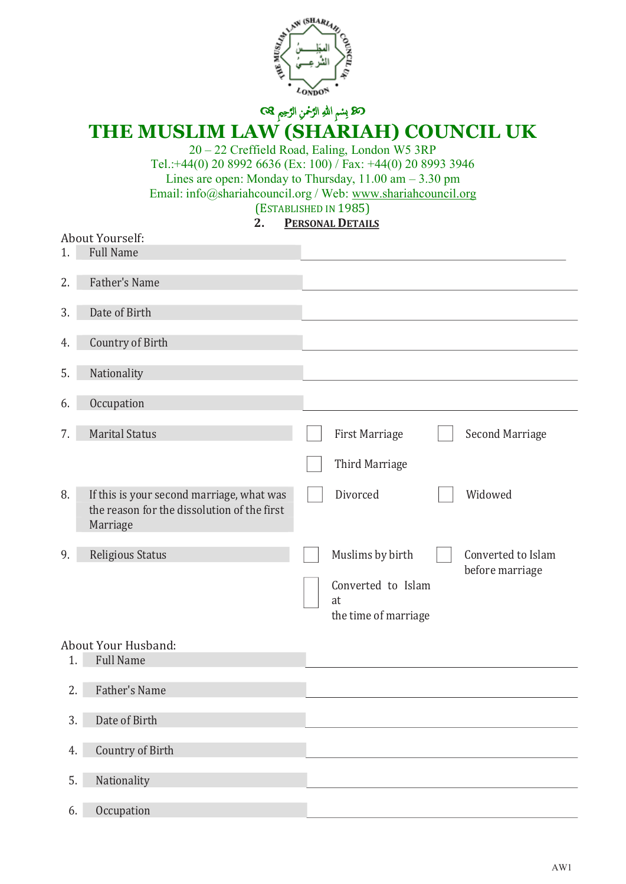

# **THE MUSLIM LAW (SHARIAH) COUNCIL UK**

20 – 22 Creffield Road, Ealing, London W5 3RP Tel.:+44(0) 20 8992 6636 (Ex: 100) / Fax: +44(0) 20 8993 3946 Lines are open: Monday to Thursday, 11.00 am – 3.30 pm Email: info@shariahcouncil.org / Web: www.shariahcouncil.org (ESTABLISHED IN 1985)<br>2. PERSONAL DETAIL

### **2. PERSONAL DETAILS**

|    | About Yourself:                                                                                      |                                                                                                               |
|----|------------------------------------------------------------------------------------------------------|---------------------------------------------------------------------------------------------------------------|
| 1. | <b>Full Name</b>                                                                                     |                                                                                                               |
| 2. | Father's Name                                                                                        |                                                                                                               |
| 3. | Date of Birth                                                                                        |                                                                                                               |
| 4. | Country of Birth                                                                                     |                                                                                                               |
| 5. | Nationality                                                                                          |                                                                                                               |
| 6. | Occupation                                                                                           |                                                                                                               |
| 7. | <b>Marital Status</b>                                                                                | <b>First Marriage</b><br>Second Marriage                                                                      |
|    |                                                                                                      | Third Marriage                                                                                                |
| 8. | If this is your second marriage, what was<br>the reason for the dissolution of the first<br>Marriage | Divorced<br>Widowed                                                                                           |
| 9. | Religious Status                                                                                     | Muslims by birth<br>Converted to Islam<br>before marriage<br>Converted to Islam<br>at<br>the time of marriage |
|    | About Your Husband:                                                                                  |                                                                                                               |
| 1. | <b>Full Name</b>                                                                                     |                                                                                                               |
| 2. | Father's Name                                                                                        |                                                                                                               |
| 3. | Date of Birth                                                                                        |                                                                                                               |
| 4. | Country of Birth                                                                                     |                                                                                                               |
| 5. | Nationality                                                                                          |                                                                                                               |
| 6. | Occupation                                                                                           |                                                                                                               |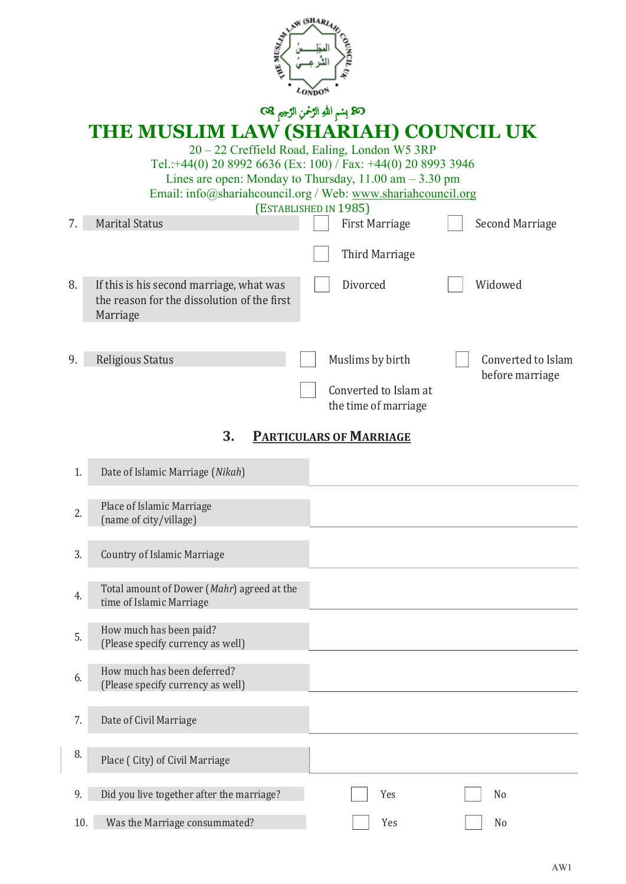

ك**ك**ا بِسْمِ اللهِ الرَّحْمنِ الرَّحِيمِ ۞ **THE MUSLIM LAW (SHARIAH) COUNCIL UK** 20 – 22 Creffield Road, Ealing, London W5 3RP Tel.:+44(0) 20 8992 6636 (Ex: 100) / Fax: +44(0) 20 8993 3946 Lines are open: Monday to Thursday,  $11.00 \text{ am} - 3.30 \text{ pm}$ Email: info@shariahcouncil.org / Web: www.shariahcouncil.org (ESTABLISHED IN 1985)<br>
First Marriage 7. Marital Status First Marriage Second Marriage Second Marriage Third Marriage 8. If this is his second marriage, what was **Divorced** Nidowed the reason for the dissolution of the first Marriage 9. Religious Status **Muslims by birth** Converted to Islam before marriage Converted to Islam at the time of marriage

### **3. PARTICULARS OF MARRIAGE**

| 1.  | Date of Islamic Marriage (Nikah)                                       |     |                |
|-----|------------------------------------------------------------------------|-----|----------------|
| 2.  | Place of Islamic Marriage<br>(name of city/village)                    |     |                |
| 3.  | <b>Country of Islamic Marriage</b>                                     |     |                |
| 4.  | Total amount of Dower (Mahr) agreed at the<br>time of Islamic Marriage |     |                |
| 5.  | How much has been paid?<br>(Please specify currency as well)           |     |                |
| 6.  | How much has been deferred?<br>(Please specify currency as well)       |     |                |
| 7.  | Date of Civil Marriage                                                 |     |                |
| 8.  | Place (City) of Civil Marriage                                         |     |                |
| 9.  | Did you live together after the marriage?                              | Yes | N <sub>o</sub> |
| 10. | Was the Marriage consummated?                                          | Yes | N <sub>0</sub> |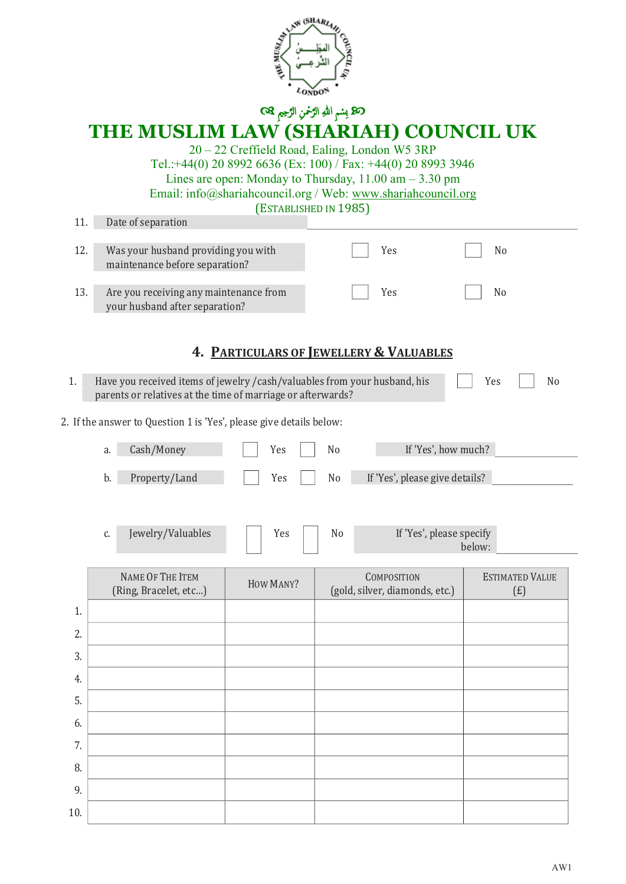

# **THE MUSLIM LAW (SHARIAH) COUNCIL UK**

20 – 22 Creffield Road, Ealing, London W5 3RP Tel.:+44(0) 20 8992 6636 (Ex: 100) / Fax: +44(0) 20 8993 3946 Lines are open: Monday to Thursday, 11.00 am – 3.30 pm Email: info@shariahcouncil.org / Web: www.shariahcouncil.org

| 11. |    | Date of separation                                                                                                                        | (ESTABLISHED IN 1985)                   |                |                                                      |                                    |                               |
|-----|----|-------------------------------------------------------------------------------------------------------------------------------------------|-----------------------------------------|----------------|------------------------------------------------------|------------------------------------|-------------------------------|
|     |    |                                                                                                                                           |                                         |                |                                                      |                                    |                               |
| 12. |    | Was your husband providing you with<br>maintenance before separation?                                                                     |                                         |                | Yes                                                  |                                    | No                            |
| 13. |    | Are you receiving any maintenance from<br>your husband after separation?                                                                  |                                         |                | Yes                                                  |                                    | N <sub>o</sub>                |
|     |    |                                                                                                                                           | 4. PARTICULARS OF JEWELLERY & VALUABLES |                |                                                      |                                    |                               |
| 1.  |    | Have you received items of jewelry / cash/valuables from your husband, his<br>parents or relatives at the time of marriage or afterwards? |                                         |                |                                                      | Yes                                | N <sub>o</sub>                |
|     |    | 2. If the answer to Question 1 is 'Yes', please give details below:                                                                       |                                         |                |                                                      |                                    |                               |
|     | a. | Cash/Money                                                                                                                                | Yes                                     | N <sub>0</sub> |                                                      | If 'Yes', how much?                |                               |
|     | b. | Property/Land                                                                                                                             | Yes                                     | No             | If 'Yes', please give details?                       |                                    |                               |
|     |    |                                                                                                                                           |                                         |                |                                                      |                                    |                               |
|     | C. | Jewelry/Valuables                                                                                                                         | Yes                                     | No             |                                                      | If 'Yes', please specify<br>below: |                               |
|     |    | NAME OF THE ITEM<br>(Ring, Bracelet, etc)                                                                                                 | HOW MANY?                               |                | <b>COMPOSITION</b><br>(gold, silver, diamonds, etc.) |                                    | <b>ESTIMATED VALUE</b><br>(f) |
| 1.  |    |                                                                                                                                           |                                         |                |                                                      |                                    |                               |
| 2.  |    |                                                                                                                                           |                                         |                |                                                      |                                    |                               |
| 3.  |    |                                                                                                                                           |                                         |                |                                                      |                                    |                               |
| 4.  |    |                                                                                                                                           |                                         |                |                                                      |                                    |                               |
| 5.  |    |                                                                                                                                           |                                         |                |                                                      |                                    |                               |
| 6.  |    |                                                                                                                                           |                                         |                |                                                      |                                    |                               |
| 7.  |    |                                                                                                                                           |                                         |                |                                                      |                                    |                               |
| 8.  |    |                                                                                                                                           |                                         |                |                                                      |                                    |                               |
| 9.  |    |                                                                                                                                           |                                         |                |                                                      |                                    |                               |
| 10. |    |                                                                                                                                           |                                         |                |                                                      |                                    |                               |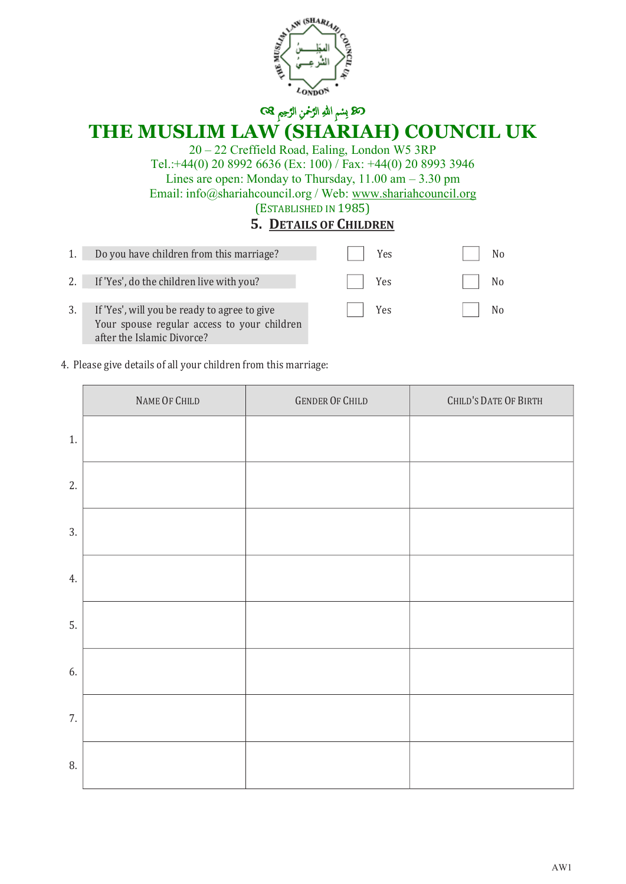

# **THE MUSLIM LAW (SHARIAH) COUNCIL UK**

20 – 22 Creffield Road, Ealing, London W5 3RP Tel.:+44(0) 20 8992 6636 (Ex: 100) / Fax: +44(0) 20 8993 3946 Lines are open: Monday to Thursday, 11.00 am – 3.30 pm Email: info@shariahcouncil.org / Web: www.shariahcouncil.org (ESTABLISHED IN 1985)

### **5. DETAILS OF CHILDREN**

|    | Do you have children from this marriage?                                                                                  | Yes | No.            |
|----|---------------------------------------------------------------------------------------------------------------------------|-----|----------------|
| 2. | If 'Yes', do the children live with you?                                                                                  | Yes | N <sub>0</sub> |
|    | If 'Yes', will you be ready to agree to give<br>Your spouse regular access to your children<br>after the Islamic Divorce? | Yes |                |

4. Please give details of all your children from this marriage:

|    | NAME OF CHILD | <b>GENDER OF CHILD</b> | CHILD'S DATE OF BIRTH |
|----|---------------|------------------------|-----------------------|
| 1. |               |                        |                       |
| 2. |               |                        |                       |
| 3. |               |                        |                       |
| 4. |               |                        |                       |
| 5. |               |                        |                       |
| 6. |               |                        |                       |
| 7. |               |                        |                       |
| 8. |               |                        |                       |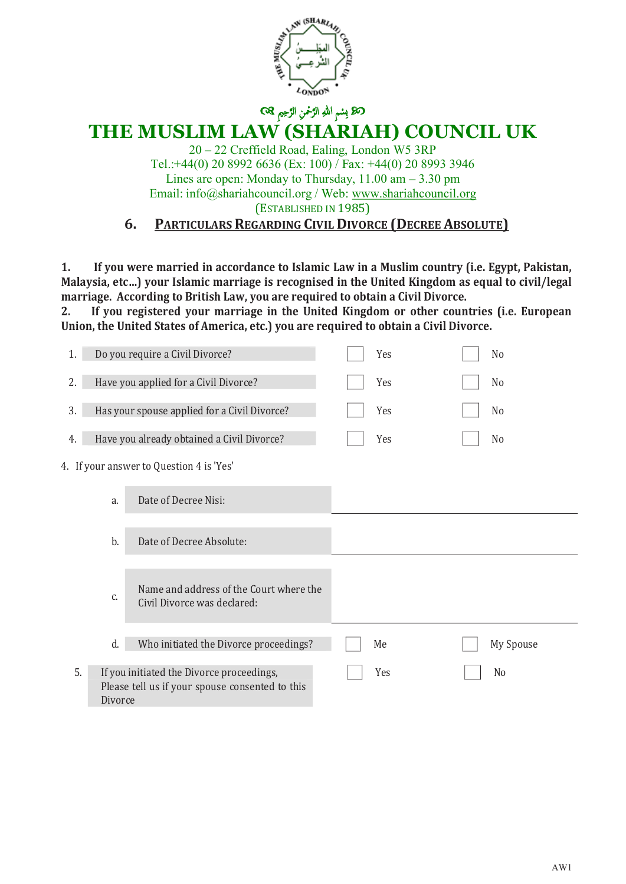

# **THE MUSLIM LAW (SHARIAH) COUNCIL UK**

20 – 22 Creffield Road, Ealing, London W5 3RP Tel.:+44(0) 20 8992 6636 (Ex: 100) / Fax: +44(0) 20 8993 3946 Lines are open: Monday to Thursday,  $11.00 \text{ am} - 3.30 \text{ pm}$ Email: info@shariahcouncil.org / Web: www.shariahcouncil.org (ESTABLISHED IN 1985)

### **6. PARTICULARS REGARDING CIVIL DIVORCE (DECREE ABSOLUTE)**

**1. If you were married in accordance to Islamic Law in a Muslim country (i.e. Egypt, Pakistan, Malaysia, etc…) your Islamic marriage is recognised in the United Kingdom as equal to civil/legal marriage. According to British Law, you are required to obtain a Civil Divorce.** 

**2. If you registered your marriage in the United Kingdom or other countries (i.e. European Union, the United States of America, etc.) you are required to obtain a Civil Divorce.**

| 1.            | Do you require a Civil Divorce?                                                              | Yes | N <sub>o</sub> |
|---------------|----------------------------------------------------------------------------------------------|-----|----------------|
| 2.            | Have you applied for a Civil Divorce?                                                        | Yes | N <sub>0</sub> |
| 3.            | Has your spouse applied for a Civil Divorce?                                                 | Yes | N <sub>0</sub> |
| 4.            | Have you already obtained a Civil Divorce?                                                   | Yes | N <sub>0</sub> |
|               | 4. If your answer to Question 4 is 'Yes'                                                     |     |                |
| a.            | Date of Decree Nisi:                                                                         |     |                |
| b.            | Date of Decree Absolute:                                                                     |     |                |
| c.            | Name and address of the Court where the<br>Civil Divorce was declared:                       |     |                |
| d.            | Who initiated the Divorce proceedings?                                                       | Me  | My Spouse      |
| 5.<br>Divorce | If you initiated the Divorce proceedings,<br>Please tell us if your spouse consented to this | Yes | N <sub>0</sub> |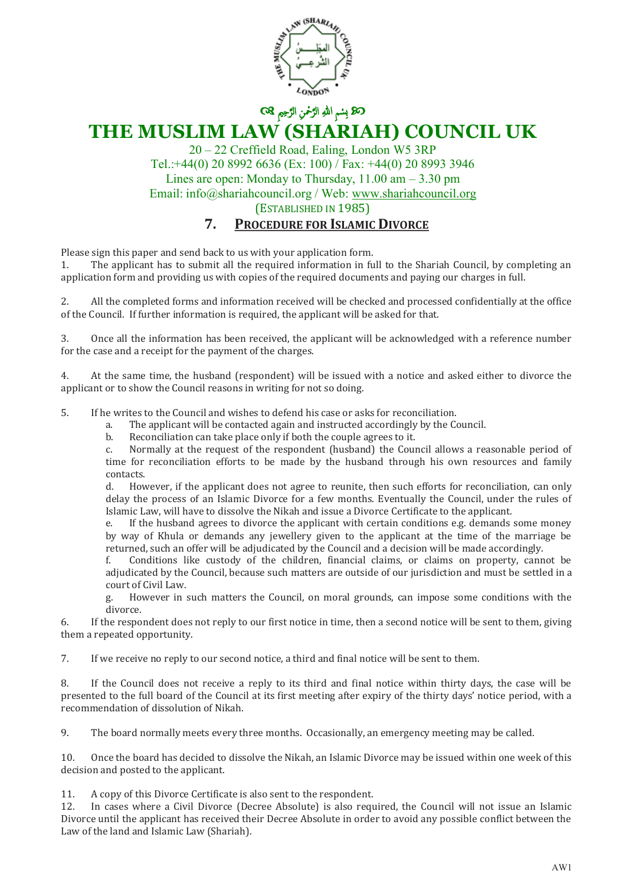

> 20 – 22 Creffield Road, Ealing, London W5 3RP Tel.:+44(0) 20 8992 6636 (Ex: 100) / Fax: +44(0) 20 8993 3946 Lines are open: Monday to Thursday,  $11.00 \text{ am} - 3.30 \text{ pm}$ Email: info@shariahcouncil.org / Web: www.shariahcouncil.org (ESTABLISHED IN 1985)

### **7. PROCEDURE FOR ISLAMIC DIVORCE**

Please sign this paper and send back to us with your application form.<br>1. The applicant has to submit all the required information in fu

The applicant has to submit all the required information in full to the Shariah Council, by completing an application form and providing us with copies of the required documents and paying our charges in full.

2. All the completed forms and information received will be checked and processed confidentially at the office of the Council. If further information is required, the applicant will be asked for that.

3. Once all the information has been received, the applicant will be acknowledged with a reference number for the case and a receipt for the payment of the charges.

4. At the same time, the husband (respondent) will be issued with a notice and asked either to divorce the applicant or to show the Council reasons in writing for not so doing.

5. If he writes to the Council and wishes to defend his case or asks for reconciliation.<br>a. The applicant will be contacted again and instructed accordingly by the Co

a. The applicant will be contacted again and instructed accordingly by the Council.

Reconciliation can take place only if both the couple agrees to it.

c. Normally at the request of the respondent (husband) the Council allows a reasonable period of time for reconciliation efforts to be made by the husband through his own resources and family contacts.<br>d. Hov

However, if the applicant does not agree to reunite, then such efforts for reconciliation, can only delay the process of an Islamic Divorce for a few months. Eventually the Council, under the rules of Islamic Law, will have to dissolve the Nikah and issue a Divorce Certificate to the applicant.<br>
If the husband agrees to divorce the applicant with certain conditions e.g. demands

If the husband agrees to divorce the applicant with certain conditions e.g. demands some money by way of Khula or demands any jewellery given to the applicant at the time of the marriage be returned, such an offer will be adjudicated by the Council and a decision will be made accordingly.

f. Conditions like custody of the children, financial claims, or claims on property, cannot be adjudicated by the Council, because such matters are outside of our jurisdiction and must be settled in a court of Civil Law.

g. However in such matters the Council, on moral grounds, can impose some conditions with the divorce.

6. If the respondent does not reply to our first notice in time, then a second notice will be sent to them, giving them a repeated opportunity.

7. If we receive no reply to our second notice, a third and final notice will be sent to them.

8. If the Council does not receive a reply to its third and final notice within thirty days, the case will be presented to the full board of the Council at its first meeting after expiry of the thirty days' notice period, with a recommendation of dissolution of Nikah.

9. The board normally meets every three months. Occasionally, an emergency meeting may be called.

10. Once the board has decided to dissolve the Nikah, an Islamic Divorce may be issued within one week of this decision and posted to the applicant.

11. A copy of this Divorce Certificate is also sent to the respondent.<br>12. In cases where a Civil Divorce (Decree Absolute) is also requ

12. In cases where a Civil Divorce (Decree Absolute) is also required, the Council will not issue an Islamic Divorce until the applicant has received their Decree Absolute in order to avoid any possible conflict between the Law of the land and Islamic Law (Shariah).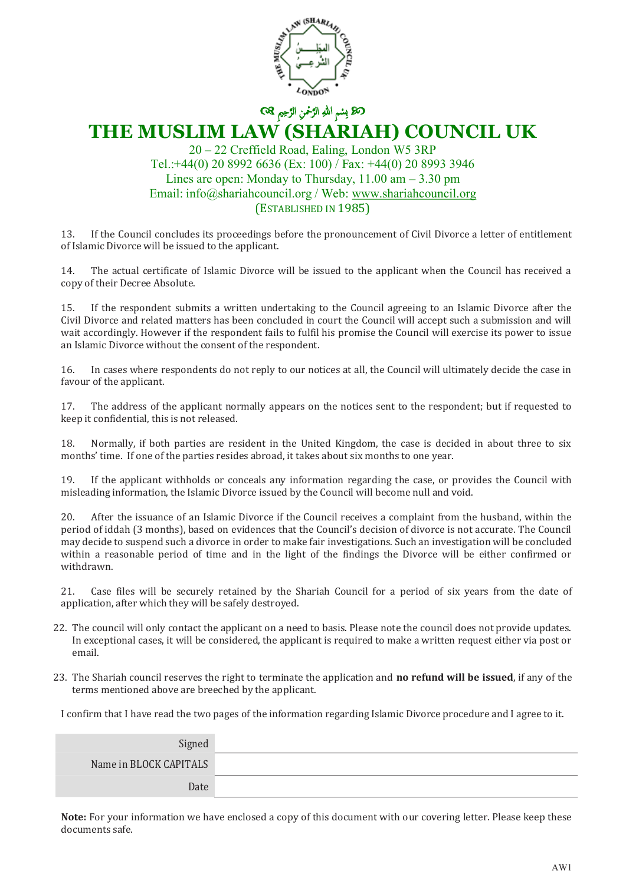

#### 20 – 22 Creffield Road, Ealing, London W5 3RP Tel.:+44(0) 20 8992 6636 (Ex: 100) / Fax: +44(0) 20 8993 3946 Lines are open: Monday to Thursday,  $11.00 \text{ am} - 3.30 \text{ pm}$ Email: info@shariahcouncil.org / Web: www.shariahcouncil.org (ESTABLISHED IN 1985)

13. If the Council concludes its proceedings before the pronouncement of Civil Divorce a letter of entitlement of Islamic Divorce will be issued to the applicant.

14. The actual certificate of Islamic Divorce will be issued to the applicant when the Council has received a copy of their Decree Absolute.

15. If the respondent submits a written undertaking to the Council agreeing to an Islamic Divorce after the Civil Divorce and related matters has been concluded in court the Council will accept such a submission and will wait accordingly. However if the respondent fails to fulfil his promise the Council will exercise its power to issue an Islamic Divorce without the consent of the respondent.

16. In cases where respondents do not reply to our notices at all, the Council will ultimately decide the case in favour of the applicant.

17. The address of the applicant normally appears on the notices sent to the respondent; but if requested to keep it confidential, this is not released.

18. Normally, if both parties are resident in the United Kingdom, the case is decided in about three to six months' time. If one of the parties resides abroad, it takes about six months to one year.

19. If the applicant withholds or conceals any information regarding the case, or provides the Council with misleading information, the Islamic Divorce issued by the Council will become null and void.

20. After the issuance of an Islamic Divorce if the Council receives a complaint from the husband, within the period of iddah (3 months), based on evidences that the Council's decision of divorce is not accurate. The Council may decide to suspend such a divorce in order to make fair investigations. Such an investigation will be concluded within a reasonable period of time and in the light of the findings the Divorce will be either confirmed or withdrawn.

21. Case files will be securely retained by the Shariah Council for a period of six years from the date of application, after which they will be safely destroyed.

- 22. The council will only contact the applicant on a need to basis. Please note the council does not provide updates. In exceptional cases, it will be considered, the applicant is required to make a written request either via post or email.
- 23. The Shariah council reserves the right to terminate the application and **no refund will be issued**, if any of the terms mentioned above are breeched by the applicant.

I confirm that I have read the two pages of the information regarding Islamic Divorce procedure and I agree to it.

| Signed                 |  |
|------------------------|--|
| Name in BLOCK CAPITALS |  |
| Date                   |  |

**Note:** For your information we have enclosed a copy of this document with our covering letter. Please keep these documents safe.